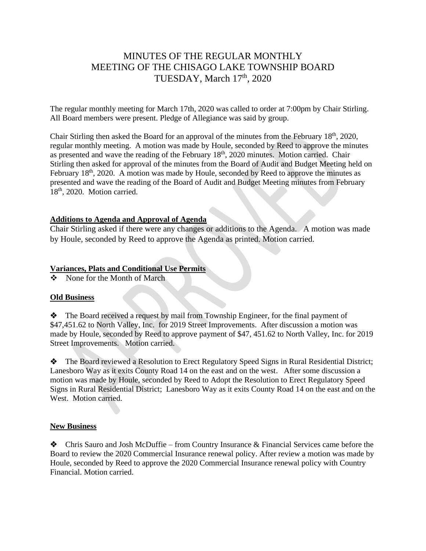# MINUTES OF THE REGULAR MONTHLY MEETING OF THE CHISAGO LAKE TOWNSHIP BOARD TUESDAY, March 17<sup>th</sup>, 2020

The regular monthly meeting for March 17th, 2020 was called to order at 7:00pm by Chair Stirling. All Board members were present. Pledge of Allegiance was said by group.

Chair Stirling then asked the Board for an approval of the minutes from the February 18<sup>th</sup>, 2020, regular monthly meeting. A motion was made by Houle, seconded by Reed to approve the minutes as presented and wave the reading of the February 18<sup>th</sup>, 2020 minutes. Motion carried. Chair Stirling then asked for approval of the minutes from the Board of Audit and Budget Meeting held on February  $18<sup>th</sup>$ , 2020. A motion was made by Houle, seconded by Reed to approve the minutes as presented and wave the reading of the Board of Audit and Budget Meeting minutes from February 18<sup>th</sup>, 2020. Motion carried.

#### **Additions to Agenda and Approval of Agenda**

Chair Stirling asked if there were any changes or additions to the Agenda. A motion was made by Houle, seconded by Reed to approve the Agenda as printed. Motion carried.

#### **Variances, Plats and Conditional Use Permits**

❖ None for the Month of March

# **Old Business**

❖The Board received a request by mail from Township Engineer, for the final payment of \$47,451.62 to North Valley, Inc. for 2019 Street Improvements. After discussion a motion was made by Houle, seconded by Reed to approve payment of \$47, 451.62 to North Valley, Inc. for 2019 Street Improvements. Motion carried.

❖ The Board reviewed a Resolution to Erect Regulatory Speed Signs in Rural Residential District; Lanesboro Way as it exits County Road 14 on the east and on the west. After some discussion a motion was made by Houle, seconded by Reed to Adopt the Resolution to Erect Regulatory Speed Signs in Rural Residential District; Lanesboro Way as it exits County Road 14 on the east and on the West. Motion carried.

# **New Business**

❖ Chris Sauro and Josh McDuffie – from Country Insurance & Financial Services came before the Board to review the 2020 Commercial Insurance renewal policy. After review a motion was made by Houle, seconded by Reed to approve the 2020 Commercial Insurance renewal policy with Country Financial. Motion carried.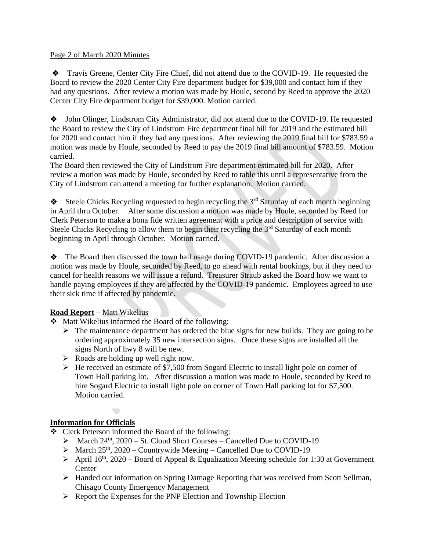#### Page 2 of March 2020 Minutes

❖ Travis Greene, Center City Fire Chief, did not attend due to the COVID-19. He requested the Board to review the 2020 Center City Fire department budget for \$39,000 and contact him if they had any questions. After review a motion was made by Houle, second by Reed to approve the 2020 Center City Fire department budget for \$39,000. Motion carried.

❖ John Olinger, Lindstrom City Administrator, did not attend due to the COVID-19. He requested the Board to review the City of Lindstrom Fire department final bill for 2019 and the estimated bill for 2020 and contact him if they had any questions. After reviewing the 2019 final bill for \$783.59 a motion was made by Houle, seconded by Reed to pay the 2019 final bill amount of \$783.59. Motion carried.

The Board then reviewed the City of Lindstrom Fire department estimated bill for 2020. After review a motion was made by Houle, seconded by Reed to table this until a representative from the City of Lindstrom can attend a meeting for further explanation. Motion carried.

 $\triangleleft$  Steele Chicks Recycling requested to begin recycling the 3<sup>rd</sup> Saturday of each month beginning in April thru October. After some discussion a motion was made by Houle, seconded by Reed for Clerk Peterson to make a bona fide written agreement with a price and description of service with Steele Chicks Recycling to allow them to begin their recycling the  $3<sup>rd</sup>$  Saturday of each month beginning in April through October. Motion carried.

❖ The Board then discussed the town hall usage during COVID-19 pandemic. After discussion a motion was made by Houle, seconded by Reed, to go ahead with rental bookings, but if they need to cancel for health reasons we will issue a refund. Treasurer Straub asked the Board how we want to handle paying employees if they are affected by the COVID-19 pandemic. Employees agreed to use their sick time if affected by pandemic.

# **Road Report** – Matt Wikelius

❖ Matt Wikelius informed the Board of the following:

- ➢ The maintenance department has ordered the blue signs for new builds. They are going to be ordering approximately 35 new intersection signs. Once these signs are installed all the signs North of hwy 8 will be new.
- ➢ Roads are holding up well right now.
- ➢ He received an estimate of \$7,500 from Sogard Electric to install light pole on corner of Town Hall parking lot. After discussion a motion was made to Houle, seconded by Reed to hire Sogard Electric to install light pole on corner of Town Hall parking lot for \$7,500. Motion carried.

# **Information for Officials**

- ❖ Clerk Peterson informed the Board of the following:
	- $\triangleright$  March 24<sup>th</sup>, 2020 St. Cloud Short Courses Cancelled Due to COVID-19
	- $\triangleright$  March 25<sup>th</sup>, 2020 Countrywide Meeting Cancelled Due to COVID-19
	- $\triangleright$  April 16<sup>th</sup>, 2020 Board of Appeal & Equalization Meeting schedule for 1:30 at Government **Center**
	- ➢ Handed out information on Spring Damage Reporting that was received from Scott Sellman, Chisago County Emergency Management
	- ➢ Report the Expenses for the PNP Election and Township Election